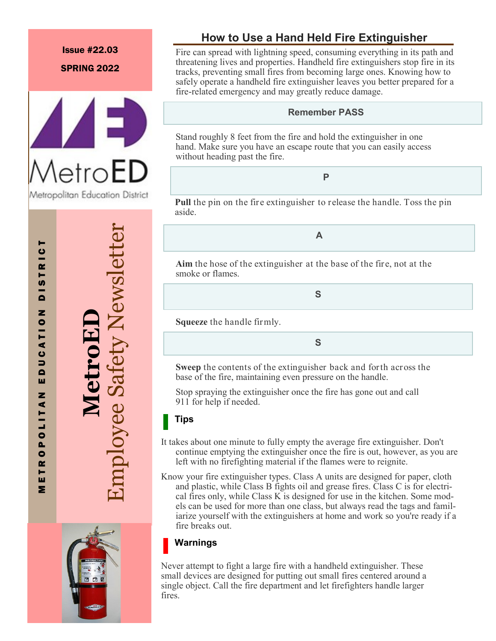### Issue #22.03

SPRING 2022



# **Manuface Safety Newslett** Employee Safety Newsletter



# **How to Use a Hand Held Fire Extinguisher**

Fire can spread with lightning speed, consuming everything in its path and threatening lives and properties. Handheld fire extinguishers stop fire in its tracks, preventing small fires from becoming large ones. Knowing how to safely operate a handheld fire extinguisher leaves you better prepared for a fire-related emergency and may greatly reduce damage.

### **Remember PASS**

Stand roughly 8 feet from the fire and hold the extinguisher in one hand. Make sure you have an escape route that you can easily access without heading past the fire.

# **P**

**Pull** the pin on the fire extinguisher to release the handle. Toss the pin aside.

**A**

**Aim** the hose of the extinguisher at the base of the fire, not at the smoke or flames.

**S**

**Squeeze** the handle firmly.

**S**

**Sweep** the contents of the extinguisher back and forth across the base of the fire, maintaining even pressure on the handle.

Stop spraying the extinguisher once the fire has gone out and call 911 for help if needed.

### **Tips**

- It takes about one minute to fully empty the average fire extinguisher. Don't continue emptying the extinguisher once the fire is out, however, as you are left with no firefighting material if the flames were to reignite.
- Know your fire extinguisher types. Class A units are designed for paper, cloth and plastic, while Class B fights oil and grease fires. Class C is for electrical fires only, while Class K is designed for use in the kitchen. Some models can be used for more than one class, but always read the tags and familiarize yourself with the extinguishers at home and work so you're ready if a fire breaks out.

# **Warnings**

Never attempt to fight a large fire with a handheld extinguisher. These small devices are designed for putting out small fires centered around a single object. Call the fire department and let firefighters handle larger fires.

 $\overline{a}$ M E T R O P O L I T A N E D U C A T I O N D I S T R I C TR I **D**<sub>15</sub> z T<sub>1</sub>o ⋖  $\bullet$  $\overline{\phantom{a}}$  $\blacksquare$ ш Z 0L11A  $\overline{P}$  $\sim$ Н Ш

Σ

T